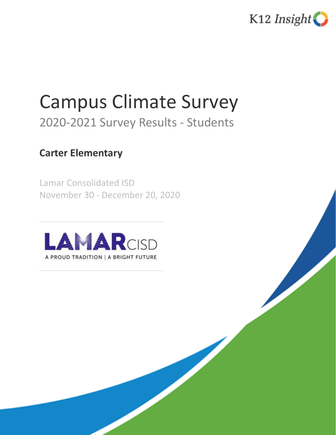

# Campus Climate Survey

# 2020-2021 Survey Results - Students

# **Carter Elementary**

Lamar Consolidated ISD November 30 - December 20, 2020

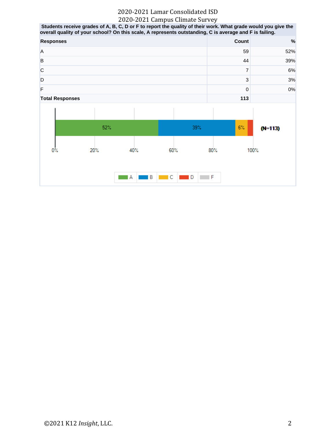Students receive grades of A, B, C, D or F to report the quality of their work. What grade would you give the overall quality of your school? On this scale, A represents outstanding, C is average and F is failing.

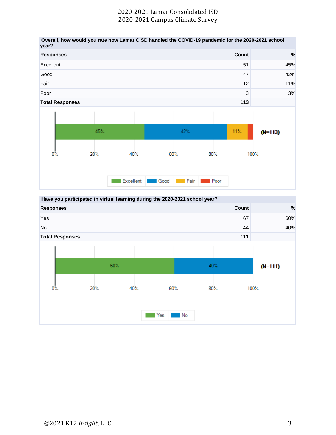

**Have you participated in virtual learning during the 2020-2021 school year? Responses Count %**  $\gamma$ es 60% and 60% and 60% and 60% and 60% and 60% and 60% and 60% and 60% and 60% and 60% and 60% and 60% and 60% No the contract of the contract of the contract of the contract of the contract of the contract of the contract of the contract of the contract of the contract of the contract of the contract of the contract of the contra **Total Responses 111**60% 40%  $(N=111)$  $0\%$ 20% 40% 60% 80% 100% Yes No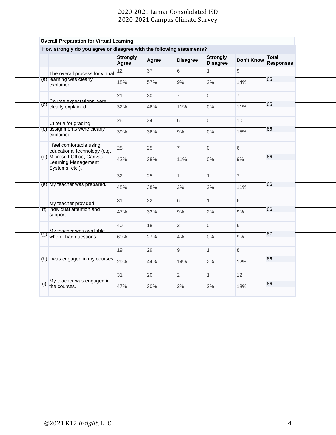|                   |                                                                         | <b>Strongly</b><br>Agree | Agree | <b>Disagree</b> | <b>Strongly</b><br><b>Disagree</b> | <b>Don't Know</b> | <b>Total</b><br><b>Responses</b> |
|-------------------|-------------------------------------------------------------------------|--------------------------|-------|-----------------|------------------------------------|-------------------|----------------------------------|
|                   | The overall process for virtual                                         | 12                       | 37    | 6               | $\mathbf{1}$                       | 9                 |                                  |
|                   | (a) learning was clearly<br>explained.                                  | 18%                      | 57%   | 9%              | 2%                                 | 14%               | 65                               |
|                   |                                                                         | 21                       | 30    | $\overline{7}$  | $\overline{0}$                     | $\overline{7}$    |                                  |
| (p)               | Course expectations were<br>clearly explained.                          | 32%                      | 46%   | 11%             | $0\%$                              | 11%               | 65                               |
|                   | Criteria for grading                                                    | 26                       | 24    | 6               | $\overline{0}$                     | 10                |                                  |
|                   | (c) assignments were clearly<br>explained.                              | 39%                      | 36%   | 9%              | $0\%$                              | 15%               | 66                               |
|                   | I feel comfortable using<br>educational technology (e.g.,               | 28                       | 25    | $\overline{7}$  | $\overline{0}$                     | 6                 |                                  |
|                   | (d) Microsoft Office, Canvas,<br>Learning Management<br>Systems, etc.). | 42%                      | 38%   | 11%             | $0\%$                              | 9%                | 66                               |
|                   |                                                                         | 32                       | 25    | $\mathbf{1}$    | $\mathbf{1}$                       | $\overline{7}$    |                                  |
|                   | (e) My teacher was prepared.                                            | 48%                      | 38%   | 2%              | 2%                                 | 11%               | 66                               |
|                   | My teacher provided                                                     | 31                       | 22    | $6\phantom{1}$  | $\mathbf{1}$                       | 6                 |                                  |
|                   | (f) individual attention and<br>support.                                | 47%                      | 33%   | 9%              | 2%                                 | 9%                | 66                               |
|                   | My teacher was available                                                | 40                       | 18    | $\mathbf{3}$    | $\overline{0}$                     | 6                 |                                  |
| $\left( 0\right)$ | when I had questions.                                                   | 60%                      | 27%   | 4%              | $0\%$                              | 9%                | 67                               |
|                   |                                                                         | 19                       | 29    | $\overline{9}$  | $\mathbf{1}$                       | 8                 |                                  |
|                   | (h) I was engaged in my courses.                                        | 29%                      | 44%   | 14%             | 2%                                 | 12%               | 66                               |
|                   | My teacher was engaged in                                               | 31                       | 20    | $\overline{2}$  | $\mathbf{1}$                       | 12                |                                  |
| $\left( 1\right)$ | the courses.                                                            | 47%                      | 30%   | 3%              | 2%                                 | 18%               | 66                               |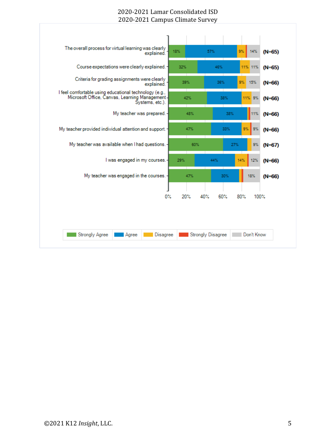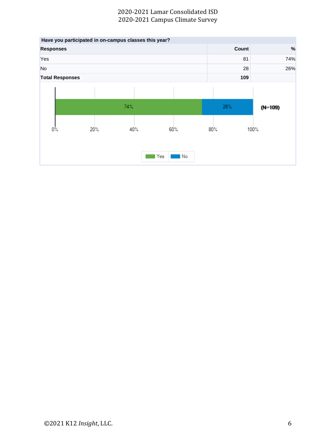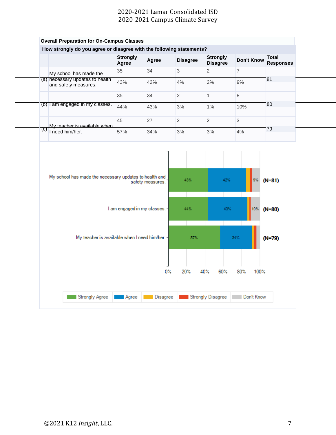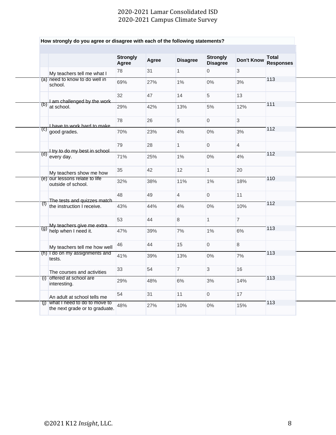|                           |                                                                    | <b>Strongly</b><br>Agree | Agree | <b>Disagree</b> | <b>Strongly</b><br><b>Disagree</b> | <b>Don't Know</b> | <b>Total</b><br><b>Responses</b> |
|---------------------------|--------------------------------------------------------------------|--------------------------|-------|-----------------|------------------------------------|-------------------|----------------------------------|
|                           | My teachers tell me what I                                         | 78                       | 31    | $\mathbf{1}$    | 0                                  | 3                 |                                  |
|                           | (a) need to know to do well in<br>school.                          | 69%                      | 27%   | $1\%$           | $0\%$                              | 3%                | 113                              |
|                           |                                                                    | 32                       | 47    | 14              | 5                                  | 13                |                                  |
| (b)                       | Lam challenged by the work<br>at school.                           | 29%                      | 42%   | 13%             | $5\%$                              | 12%               | 111                              |
|                           | I have to work hard to make                                        | 78                       | 26    | $\overline{5}$  | $\overline{0}$                     | 3                 |                                  |
| (C)                       | good grades.                                                       | 70%                      | 23%   | 4%              | $0\%$                              | 3%                | 112                              |
|                           | I try to do my best in school.                                     | 79                       | 28    | $\mathbf{1}$    | $\overline{0}$                     | $\overline{4}$    |                                  |
| (d)                       | every day.                                                         | 71%                      | 25%   | $1\%$           | $0\%$                              | 4%                | 112                              |
|                           | My teachers show me how                                            | 35                       | 42    | 12 <sup>2</sup> | $\mathbf{1}$                       | 20                |                                  |
|                           | (e) our lessons relate to life<br>outside of school.               | 32%                      | 38%   | 11%             | $1\%$                              | 18%               | 110                              |
|                           |                                                                    | 48                       | 49    | $\overline{4}$  | $\overline{0}$                     | 11                |                                  |
| $(\text{I})$              | The tests and quizzes match<br>the instruction I receive.          | 43%                      | 44%   | 4%              | $0\%$                              | 10%               | 112                              |
|                           |                                                                    | 53                       | 44    | 8               | $\mathbf{1}$                       | $\overline{7}$    |                                  |
|                           | My teachers give me extra<br>$\overline{(9)}$ help when I need it. | 47%                      | 39%   | 7%              | $1\%$                              | 6%                | 113                              |
|                           | My teachers tell me how well                                       | 46                       | 44    | 15              | $\overline{0}$                     | 8                 |                                  |
|                           | (h) I do on my assignments and<br>tests.                           | 41%                      | 39%   | 13%             | $0\%$                              | 7%                | 113                              |
|                           | The courses and activities                                         | 33                       | 54    | $\overline{7}$  | 3                                  | 16                |                                  |
|                           | (i) offered at school are<br>interesting.                          | 29%                      | 48%   | 6%              | 3%                                 | 14%               | 113                              |
|                           | An adult at school tells me                                        | 54                       | 31    | 11              | 0                                  | 17                |                                  |
| $\overline{(\mathsf{I})}$ | what I need to do to move to<br>the next grade or to graduate.     | 48%                      | 27%   | 10%             | $0\%$                              | 15%               | 113                              |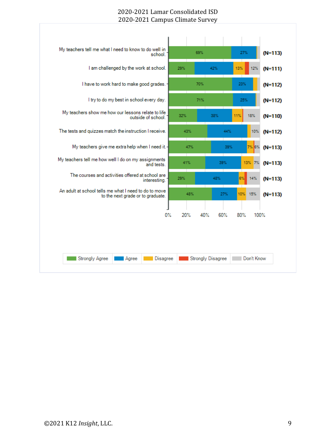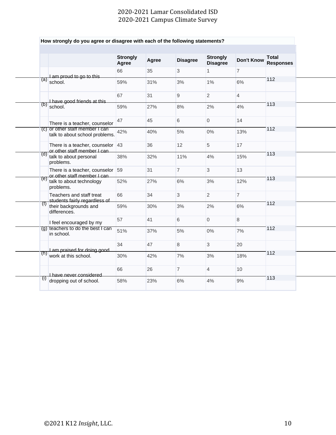|                  |                                                                     | <b>Strongly</b><br>Agree | Agree | <b>Disagree</b> | <b>Strongly</b><br><b>Disagree</b> | <b>Don't Know</b> | <b>Total</b><br><b>Responses</b> |
|------------------|---------------------------------------------------------------------|--------------------------|-------|-----------------|------------------------------------|-------------------|----------------------------------|
|                  |                                                                     | 66                       | 35    | 3               | $\mathbf{1}$                       | $\overline{7}$    |                                  |
| (a)              | Lam proud to go to this<br>school.                                  | 59%                      | 31%   | 3%              | 1%                                 | 6%                | 112                              |
|                  |                                                                     | 67                       | 31    | 9               | $\overline{2}$                     | $\overline{4}$    |                                  |
|                  | I have good friends at this<br>$(b)$ school.                        | 59%                      | 27%   | 8%              | 2%                                 | 4%                | 113                              |
|                  | There is a teacher, counselor                                       | 47                       | 45    | 6               | 0                                  | 14                |                                  |
|                  | (c) or other staff member I can<br>talk to about school problems.   | 42%                      | 40%   | 5%              | $0\%$                              | 13%               | 112                              |
|                  | There is a teacher, counselor $ 43 $<br>or other staff member I can |                          | 36    | 12              | 5                                  | 17                |                                  |
|                  | (d) talk to about personal<br>problems.                             | 38%                      | 32%   | 11%             | 4%                                 | 15%               | 113                              |
|                  | There is a teacher, counselor 59<br>or other staff member I can     |                          | 31    | $\overline{7}$  | 3                                  | 13                |                                  |
| (e)              | talk to about technology<br>problems.                               | 52%                      | 27%   | 6%              | 3%                                 | 12%               | 113                              |
|                  | Teachers and staff treat<br>students fairly regardless of           | 66                       | 34    | $\mathbf{3}$    | $\overline{2}$                     | $\overline{7}$    |                                  |
| $\left(1\right)$ | their backgrounds and<br>differences.                               | 59%                      | 30%   | 3%              | 2%                                 | 6%                | 112                              |
|                  | I feel encouraged by my                                             | 57                       | 41    | 6               | 0                                  | 8                 |                                  |
|                  | (g) teachers to do the best I can<br>in school.                     | 51%                      | 37%   | 5%              | $0\%$                              | 7%                | 112                              |
|                  |                                                                     | 34                       | 47    | 8               | 3                                  | 20                |                                  |
| (h)              | I am praised for doing good<br>work at this school.                 | 30%                      | 42%   | 7%              | 3%                                 | 18%               | 112                              |
|                  | I have never considered                                             | 66                       | 26    | $\overline{7}$  | $\overline{4}$                     | 10                |                                  |
| (1)              | dropping out of school.                                             | 58%                      | 23%   | 6%              | 4%                                 | 9%                | 113                              |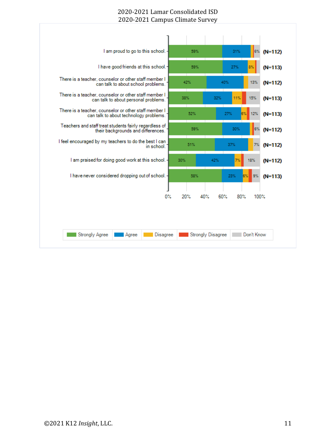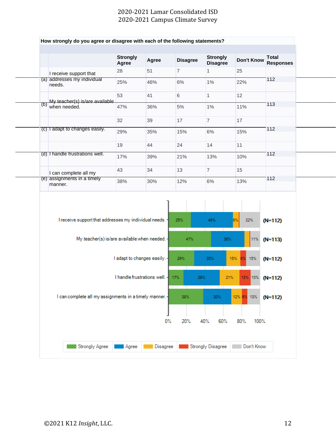|     |                                                         | <b>Strongly</b><br>Agree     | Agree                             | <b>Disagree</b> | <b>Strongly</b><br><b>Disagree</b> | <b>Don't Know</b> | <b>Total</b><br><b>Responses</b> |
|-----|---------------------------------------------------------|------------------------------|-----------------------------------|-----------------|------------------------------------|-------------------|----------------------------------|
|     | I receive support that                                  | 28                           | 51                                | $\overline{7}$  | $\mathbf{1}$                       | 25                |                                  |
|     | (a) addresses my individual<br>needs.                   | 25%                          | 46%                               | 6%              | $1\%$                              | 22%               | 112                              |
|     |                                                         | 53                           | 41                                | 6               | $\mathbf{1}$                       | 12                |                                  |
| (b) | My teacher(s) is/are available<br>when needed.          | 47%                          | 36%                               | $5\%$           | $1\%$                              | 11%               | 113                              |
|     |                                                         | 32                           | 39                                | 17              | $\overline{7}$                     | 17                |                                  |
|     | (c) I adapt to changes easily.                          | 29%                          | 35%                               | 15%             | 6%                                 | 15%               | 112                              |
|     |                                                         | 19                           | 44                                | 24              | 14                                 | 11                |                                  |
|     | (d) I handle frustrations well.                         | 17%                          | 39%                               | 21%             | 13%                                | 10%               | 112                              |
|     | I can complete all my                                   | 43                           | 34                                | 13              | $\overline{7}$                     | 15                |                                  |
|     | (e) assignments in a timely<br>manner.                  | 38%                          | 30%                               | 12%             | $6\%$                              | 13%               | 112                              |
|     | I receive support that addresses my individual needs. - |                              |                                   | 25%             | 46%                                | 6%<br>22%         | $(N=112)$                        |
|     | My teacher(s) is/are available when needed.             |                              |                                   | 47%             | 36%                                | 11%               | $(N=113)$                        |
|     |                                                         | I adapt to changes easily. - |                                   | 29%             | 35%                                | 15% 6%<br>15%     | $(N=112)$                        |
|     |                                                         |                              | I handle frustrations well. - 17% |                 | 39%<br>21%                         | 13% 10% (N=112)   |                                  |
|     |                                                         |                              |                                   | 38%             | 30%                                | 12% 6% 13%        | $(N=112)$                        |
|     | I can complete all my assignments in a timely manner.   |                              |                                   |                 |                                    |                   |                                  |
|     |                                                         |                              | $0\%$                             | 20%             | 40%<br>60%                         | 80%<br>100%       |                                  |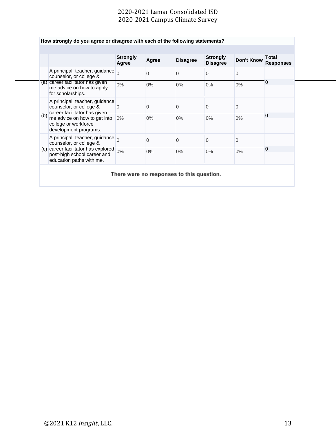|     |                                                                                                | <b>Strongly</b><br>Agree | Agree | <b>Disagree</b> | <b>Strongly</b><br><b>Disagree</b> | <b>Don't Know</b> | Total<br><b>Responses</b> |
|-----|------------------------------------------------------------------------------------------------|--------------------------|-------|-----------------|------------------------------------|-------------------|---------------------------|
|     | A principal, teacher, guidance<br>counselor, or college &                                      |                          | 0     | 0               | $\mathbf 0$                        | $\Omega$          |                           |
|     | (a) career facilitator has given<br>me advice on how to apply<br>for scholarships.             | $0\%$                    | $0\%$ | $0\%$           | $0\%$                              | $0\%$             | 0                         |
|     | A principal, teacher, guidance<br>counselor, or college &<br>career facilitator has given      | $\overline{0}$           | 0     | 0               | $\mathbf{0}$                       | 0                 |                           |
| (b) | me advice on how to get into 0%<br>college or workforce<br>development programs.               |                          | $0\%$ | $0\%$           | $0\%$                              | $0\%$             | 0                         |
|     | A principal, teacher, guidance<br>counselor, or college &                                      |                          | 0     | 0               | $\Omega$                           | $\mathbf 0$       |                           |
|     | (c) career facilitator has explored<br>post-high school career and<br>education paths with me. | 0%                       | $0\%$ | $0\%$           | $0\%$                              | $0\%$             | 0                         |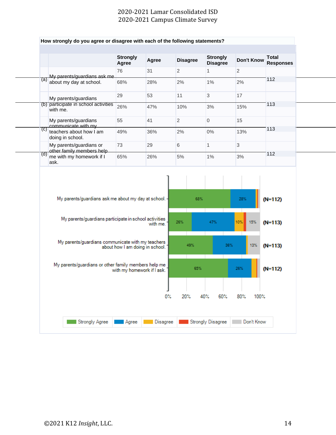|     |                                                        | <b>Strongly</b><br>Agree   | Agree                           | <b>Disagree</b> | <b>Strongly</b><br><b>Disagree</b> | <b>Don't Know</b> | <b>Total</b><br><b>Responses</b> |
|-----|--------------------------------------------------------|----------------------------|---------------------------------|-----------------|------------------------------------|-------------------|----------------------------------|
|     |                                                        | 76                         | 31                              | $\overline{2}$  | $\mathbf{1}$                       | $\overline{2}$    |                                  |
| (a) | My parents/guardians ask me<br>about my day at school. | 68%                        | 28%                             | 2%              | 1%                                 | 2%                | 112                              |
|     | My parents/guardians                                   | 29                         | 53                              | 11              | 3                                  | 17                |                                  |
|     | (b) participate in school activities<br>with me.       | 26%                        | 47%                             | 10%             | 3%                                 | 15%               | 113                              |
|     | My parents/guardians<br>communicate with my            | 55                         | 41                              | $\overline{2}$  | $\overline{0}$                     | 15                |                                  |
| (C) | teachers about how I am<br>doing in school.            | 49%                        | 36%                             | 2%              | $0\%$                              | 13%               | 113                              |
|     | My parents/guardians or<br>other family members help   | 73                         | 29                              | 6               | $\mathbf{1}$                       | 3                 |                                  |
| (d) | me with my homework if I<br>ask.                       | 65%                        | 26%                             | 5%              | $1\%$                              | 3%                | 112                              |
|     |                                                        |                            |                                 | 68%             |                                    | 28%               |                                  |
|     | My parents/guardians ask me about my day at school. -  |                            |                                 |                 |                                    |                   | $(N=112)$                        |
|     | My parents/guardians participate in school activities  |                            | with me.                        | 26%             | 47%                                | 10%<br>15%        | $(N=113)$                        |
|     |                                                        |                            |                                 |                 |                                    |                   |                                  |
|     | My parents/guardians communicate with my teachers      |                            | about how I am doing in school. | 49%             | 36%                                | 13%               | $(N=113)$                        |
|     | My parents/guardians or other family members help me   | with my homework if I ask. |                                 | 65%             |                                    | 26%               | $(N=112)$                        |
|     |                                                        |                            |                                 |                 |                                    |                   |                                  |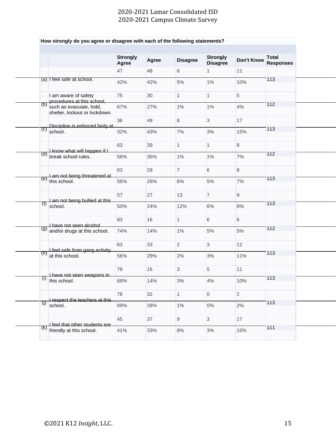|                                                                  | <b>Strongly</b><br>Agree | Agree | <b>Disagree</b> | <b>Strongly</b><br><b>Disagree</b> | Don't Know     | Total<br><b>Responses</b> |
|------------------------------------------------------------------|--------------------------|-------|-----------------|------------------------------------|----------------|---------------------------|
|                                                                  | 47                       | 48    | 6               | $\mathbf{1}$                       | 11             |                           |
| (a) I feel safe at school.                                       | 42%                      | 42%   | 5%              | $1\%$                              | 10%            | 113                       |
| I am aware of safety<br>procedures at this school,               | 75                       | 30    | $\mathbf{1}$    | $\mathbf{1}$                       | 5              |                           |
| (b)<br>such as evacuate, hold,<br>shelter, lockout or lockdown.  | 67%                      | 27%   | 1%              | $1\%$                              | 4%             | 112                       |
|                                                                  | 36                       | 49    | 8               | $\mathbf{3}$                       | 17             |                           |
| Discipline is enforced fairly at<br>$\left( c\right)$<br>school. | 32%                      | 43%   | 7%              | $3%$                               | 15%            | 113                       |
| I know what will happen if I                                     | 63                       | 39    | $\mathbf{1}$    | $\mathbf{1}$                       | 8              |                           |
| (d)<br>break school rules.                                       | 56%                      | 35%   | 1%              | $1\%$                              | 7%             | 112                       |
| I am not being threatened at                                     | 63                       | 29    | $\overline{7}$  | 6                                  | $8\phantom{1}$ |                           |
| $\overline{(e)}$ this school.                                    | 56%                      | 26%   | 6%              | 5%                                 | 7%             | 113                       |
| I am not being bullied at this                                   | 57                       | 27    | 13              | $\overline{7}$                     | 9              |                           |
| (f)<br>school.                                                   | 50%                      | 24%   | 12%             | 6%                                 | 8%             | 113                       |
| I have not seen alcohol                                          | 83                       | 16    | $\mathbf{1}$    | 6                                  | $6\phantom{1}$ |                           |
| (g)<br>and/or drugs at this school.                              | 74%                      | 14%   | 1%              | 5%                                 | 5%             | 112                       |
| I feel safe from gang activity                                   | 63                       | 33    | $\overline{2}$  | 3                                  | 12             |                           |
| (h)<br>at this school.                                           | 56%                      | 29%   | 2%              | $3%$                               | 11%            | 113                       |
| I have not seen weapons in                                       | 78                       | 16    | 3               | 5                                  | 11             |                           |
| $(i)$ this school.                                               | 69%                      | 14%   | $3\%$           | $4\%$                              | 10%            | 113                       |
| I respect the teachers at this                                   | 78                       | 32    | $\vert$ 1       | $\overline{0}$                     | $\overline{2}$ |                           |
| $\left( 0\right)$<br>school.                                     | 69%                      | 28%   | $1\%$           | $0\%$                              | 2%             | 113                       |
| I feel that other students are                                   | 45                       | 37    | 9               | $\mathbf{3}$                       | 17             |                           |
| $\overline{R}$ friendly at this school.                          | 41%                      | 33%   | 8%              | 3%                                 | 15%            | 111                       |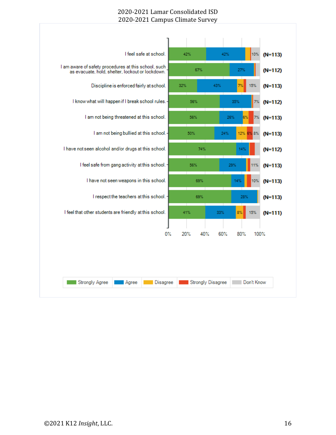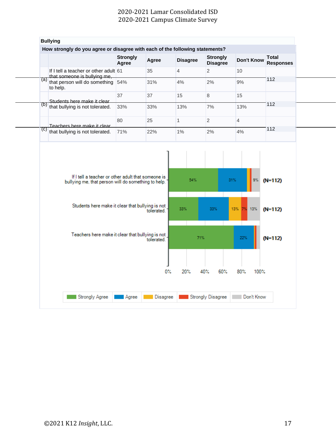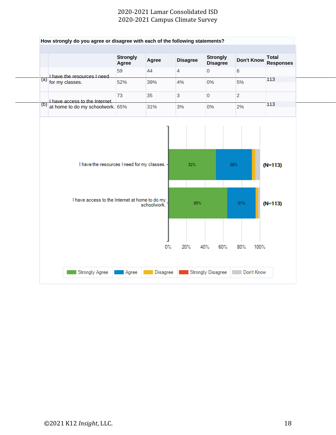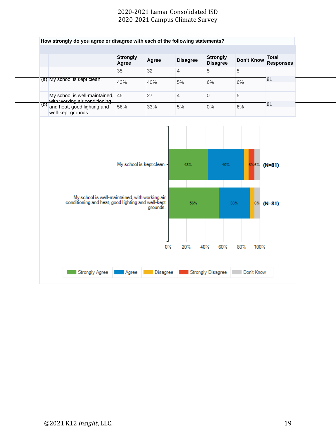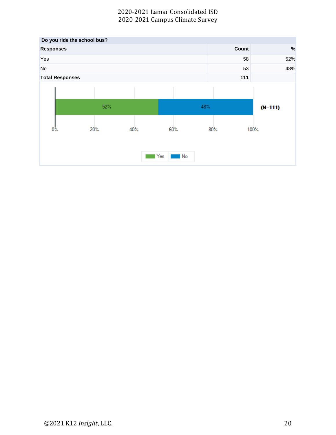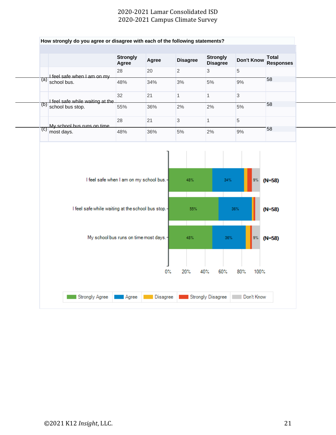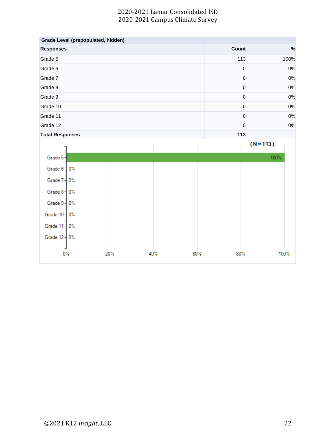|                        | Grade Level (prepopulated, hidden) |             |     |             |             |  |
|------------------------|------------------------------------|-------------|-----|-------------|-------------|--|
| <b>Responses</b>       |                                    |             |     | Count       | %           |  |
| Grade 5                |                                    |             |     | 113         | 100%        |  |
| Grade 6                |                                    |             |     | $\mathbf 0$ | 0%          |  |
| Grade 7                |                                    |             |     | $\mathbf 0$ | 0%          |  |
| Grade 8                |                                    | $\pmb{0}$   | 0%  |             |             |  |
| Grade 9                |                                    | $\mathbf 0$ | 0%  |             |             |  |
| Grade 10               |                                    |             |     | $\pmb{0}$   | 0%          |  |
| Grade 11               |                                    | $\mathbf 0$ | 0%  |             |             |  |
| Grade 12               |                                    |             |     | $\pmb{0}$   | 0%          |  |
| <b>Total Responses</b> |                                    |             |     | 113         |             |  |
|                        |                                    |             |     |             | $(N = 113)$ |  |
| Grade 5-               |                                    |             |     |             | 100%        |  |
| Grade $6 - 0$ %        |                                    |             |     |             |             |  |
| Grade 7 - 0%           |                                    |             |     |             |             |  |
| Grade $8 + 0\%$        |                                    |             |     |             |             |  |
| Grade $9 - 0$ %        |                                    |             |     |             |             |  |
| Grade 10   0%          |                                    |             |     |             |             |  |
| Grade 11   0%          |                                    |             |     |             |             |  |
| Grade 12   0%          |                                    |             |     |             |             |  |
| $0\%$                  | 20%                                | 40%         | 60% | $80\%$      | 100%        |  |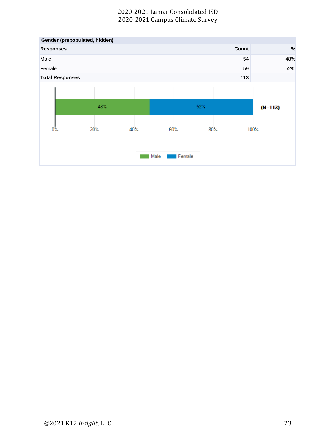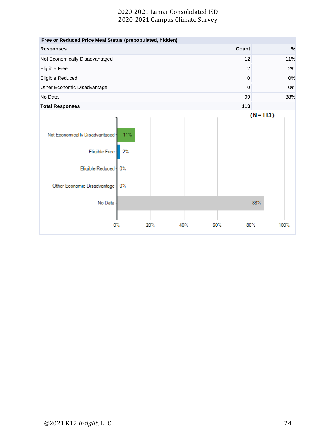| Free or Reduced Price Meal Status (prepopulated, hidden)                                              |                       |     |     |                |             |      |
|-------------------------------------------------------------------------------------------------------|-----------------------|-----|-----|----------------|-------------|------|
| <b>Responses</b>                                                                                      |                       |     |     | <b>Count</b>   |             | %    |
| Not Economically Disadvantaged                                                                        |                       |     |     | 12             |             | 11%  |
| Eligible Free                                                                                         |                       |     |     | $\overline{2}$ |             | 2%   |
| Eligible Reduced                                                                                      |                       |     |     | $\mathbf 0$    |             | 0%   |
| Other Economic Disadvantage                                                                           |                       |     |     | $\Omega$       |             | 0%   |
| No Data                                                                                               |                       |     |     | 99             |             | 88%  |
| <b>Total Responses</b>                                                                                |                       |     |     | 113            |             |      |
| Not Economically Disadvantaged<br>Eligible Free-<br>Eligible Reduced -<br>Other Economic Disadvantage | 11%<br>2%<br>0%<br>0% |     |     |                | $(N = 113)$ |      |
| No Data                                                                                               |                       |     |     |                | 88%         |      |
|                                                                                                       |                       |     |     |                |             |      |
| 0%                                                                                                    |                       | 20% | 40% | 60%            | 80%         | 100% |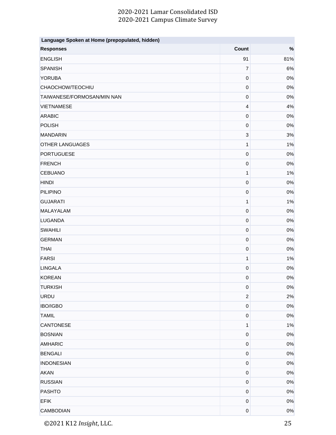| Language Spoken at Home (prepopulated, hidden) |                           |       |  |  |  |  |
|------------------------------------------------|---------------------------|-------|--|--|--|--|
| <b>Responses</b>                               | Count                     | $\%$  |  |  |  |  |
| <b>ENGLISH</b>                                 | 91                        | 81%   |  |  |  |  |
| <b>SPANISH</b>                                 | $\overline{7}$            | 6%    |  |  |  |  |
| <b>YORUBA</b>                                  | $\pmb{0}$                 | 0%    |  |  |  |  |
| CHAOCHOW/TEOCHIU                               | $\pmb{0}$                 | 0%    |  |  |  |  |
| TAIWANESE/FORMOSAN/MIN NAN                     | $\pmb{0}$                 | 0%    |  |  |  |  |
| <b>VIETNAMESE</b>                              | $\overline{4}$            | 4%    |  |  |  |  |
| <b>ARABIC</b>                                  | $\pmb{0}$                 | $0\%$ |  |  |  |  |
| <b>POLISH</b>                                  | $\pmb{0}$                 | 0%    |  |  |  |  |
| <b>MANDARIN</b>                                | $\ensuremath{\mathsf{3}}$ | 3%    |  |  |  |  |
| <b>OTHER LANGUAGES</b>                         | $\mathbf{1}$              | 1%    |  |  |  |  |
| <b>PORTUGUESE</b>                              | $\pmb{0}$                 | 0%    |  |  |  |  |
| <b>FRENCH</b>                                  | $\pmb{0}$                 | 0%    |  |  |  |  |
| <b>CEBUANO</b>                                 | $\mathbf{1}$              | 1%    |  |  |  |  |
| <b>HINDI</b>                                   | $\pmb{0}$                 | $0\%$ |  |  |  |  |
| <b>PILIPINO</b>                                | $\pmb{0}$                 | $0\%$ |  |  |  |  |
| <b>GUJARATI</b>                                | $\mathbf{1}$              | 1%    |  |  |  |  |
| MALAYALAM                                      | $\mathbf 0$               | $0\%$ |  |  |  |  |
| <b>LUGANDA</b>                                 | $\pmb{0}$                 | $0\%$ |  |  |  |  |
| <b>SWAHILI</b>                                 | $\boldsymbol{0}$          | $0\%$ |  |  |  |  |
| <b>GERMAN</b>                                  | $\pmb{0}$                 | $0\%$ |  |  |  |  |
| <b>THAI</b>                                    | $\pmb{0}$                 | 0%    |  |  |  |  |
| <b>FARSI</b>                                   | 1                         | 1%    |  |  |  |  |
| <b>LINGALA</b>                                 | $\boldsymbol{0}$          | $0\%$ |  |  |  |  |
| <b>KOREAN</b>                                  | $\pmb{0}$                 | $0\%$ |  |  |  |  |
| <b>TURKISH</b>                                 | $\pmb{0}$                 | 0%    |  |  |  |  |
| <b>URDU</b>                                    | $\boldsymbol{2}$          | 2%    |  |  |  |  |
| <b>IBO/IGBO</b>                                | $\mathbf 0$               | $0\%$ |  |  |  |  |
| <b>TAMIL</b>                                   | $\mathbf 0$               | 0%    |  |  |  |  |
| <b>CANTONESE</b>                               | 1                         | 1%    |  |  |  |  |
| <b>BOSNIAN</b>                                 | $\pmb{0}$                 | $0\%$ |  |  |  |  |
| <b>AMHARIC</b>                                 | $\pmb{0}$                 | 0%    |  |  |  |  |
| <b>BENGALI</b>                                 | $\pmb{0}$                 | $0\%$ |  |  |  |  |
| <b>INDONESIAN</b>                              | $\pmb{0}$                 | $0\%$ |  |  |  |  |
| <b>AKAN</b>                                    | $\pmb{0}$                 | 0%    |  |  |  |  |
| <b>RUSSIAN</b>                                 | $\pmb{0}$                 | $0\%$ |  |  |  |  |
| <b>PASHTO</b>                                  | $\boldsymbol{0}$          | 0%    |  |  |  |  |
| <b>EFIK</b>                                    | $\pmb{0}$                 | 0%    |  |  |  |  |
| <b>CAMBODIAN</b>                               | $\mathbf 0$               | 0%    |  |  |  |  |

©2021 K12 *Insight*, LLC. 25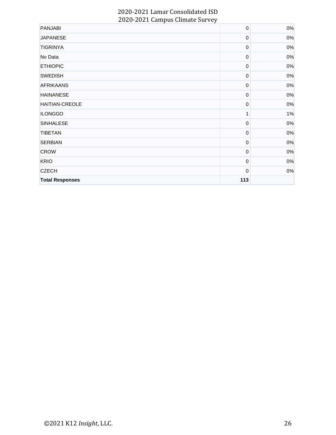| <b>PANJABI</b>         | $\boldsymbol{0}$ | $0\%$ |
|------------------------|------------------|-------|
| <b>JAPANESE</b>        | $\mathbf 0$      | $0\%$ |
| <b>TIGRINYA</b>        | $\boldsymbol{0}$ | $0\%$ |
| No Data                | $\boldsymbol{0}$ | 0%    |
| <b>ETHIOPIC</b>        | $\boldsymbol{0}$ | 0%    |
| <b>SWEDISH</b>         | $\boldsymbol{0}$ | 0%    |
| <b>AFRIKAANS</b>       | $\mathbf 0$      | $0\%$ |
| <b>HAINANESE</b>       | 0                | $0\%$ |
| HAITIAN-CREOLE         | $\boldsymbol{0}$ | 0%    |
| <b>ILONGGO</b>         | 1                | 1%    |
| <b>SINHALESE</b>       | $\boldsymbol{0}$ | 0%    |
| <b>TIBETAN</b>         | $\mathbf 0$      | 0%    |
| <b>SERBIAN</b>         | $\boldsymbol{0}$ | 0%    |
| <b>CROW</b>            | 0                | $0\%$ |
| <b>KRIO</b>            | $\boldsymbol{0}$ | 0%    |
| <b>CZECH</b>           | 0                | $0\%$ |
| <b>Total Responses</b> | 113              |       |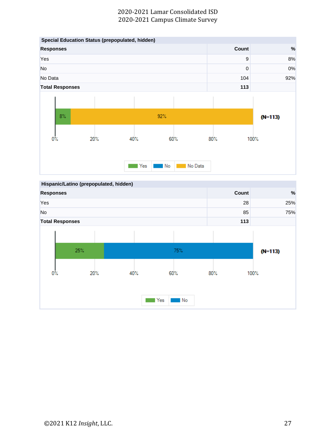